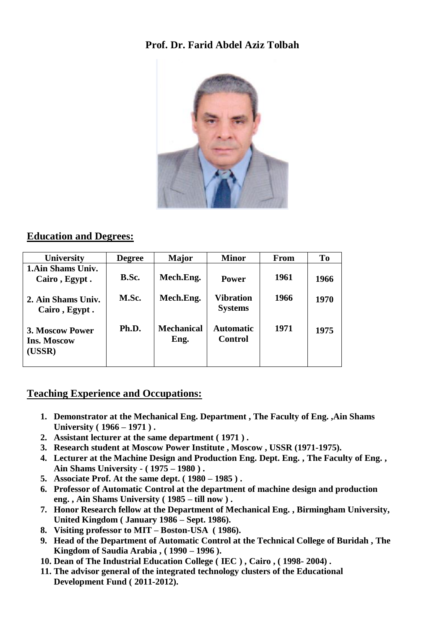## **Prof. Dr. Farid Abdel Aziz Tolbah**



## **Education and Degrees:**

| <b>University</b>                               | <b>Degree</b> | Major                     | <b>Minor</b>                       | From | T <sub>0</sub> |
|-------------------------------------------------|---------------|---------------------------|------------------------------------|------|----------------|
| 1. Ain Shams Univ.<br>Cairo, Egypt.             | B.Sc.         | Mech.Eng.                 | <b>Power</b>                       | 1961 | 1966           |
| 2. Ain Shams Univ.<br>Cairo, Egypt.             | M.Sc.         | Mech.Eng.                 | <b>Vibration</b><br><b>Systems</b> | 1966 | 1970           |
| 3. Moscow Power<br><b>Ins. Moscow</b><br>(USSR) | Ph.D.         | <b>Mechanical</b><br>Eng. | <b>Automatic</b><br>Control        | 1971 | 1975           |

#### **Teaching Experience and Occupations:**

- **1. Demonstrator at the Mechanical Eng. Department , The Faculty of Eng. ,Ain Shams University ( 1966 – 1971 ) .**
- **2. Assistant lecturer at the same department ( 1971 ) .**
- **3. Research student at Moscow Power Institute , Moscow , USSR (1971-1975).**
- **4. Lecturer at the Machine Design and Production Eng. Dept. Eng. , The Faculty of Eng. , Ain Shams University - ( 1975 – 1980 ) .**
- **5. Associate Prof. At the same dept. ( 1980 – 1985 ) .**
- **6. Professor of Automatic Control at the department of machine design and production eng. , Ain Shams University ( 1985 – till now ) .**
- **7. Honor Research fellow at the Department of Mechanical Eng. , Birmingham University, United Kingdom ( January 1986 – Sept. 1986).**
- **8. Visiting professor to MIT – Boston-USA ( 1986).**
- **9. Head of the Department of Automatic Control at the Technical College of Buridah , The Kingdom of Saudia Arabia , ( 1990 – 1996 ).**
- **10. Dean of The Industrial Education College ( IEC ) , Cairo , ( 1998- 2004) .**
- **11. The advisor general of the integrated technology clusters of the Educational Development Fund ( 2011-2012).**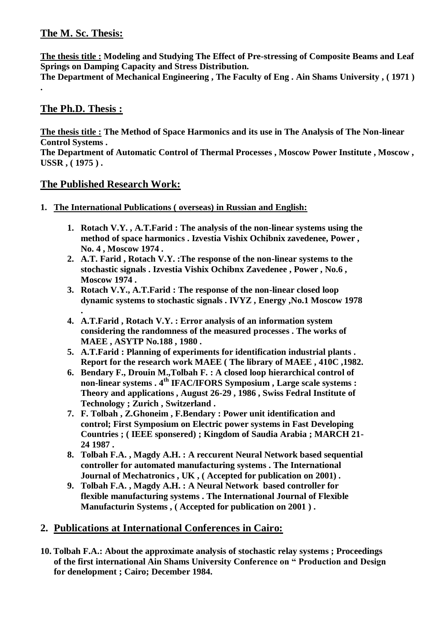## **The M. Sc. Thesis:**

**The thesis title : Modeling and Studying The Effect of Pre-stressing of Composite Beams and Leaf Springs on Damping Capacity and Stress Distribution.** 

**The Department of Mechanical Engineering , The Faculty of Eng . Ain Shams University , ( 1971 )** 

## **The Ph.D. Thesis :**

**.**

**The thesis title : The Method of Space Harmonics and its use in The Analysis of The Non-linear Control Systems .** 

**The Department of Automatic Control of Thermal Processes , Moscow Power Institute , Moscow , USSR , ( 1975 ) .**

#### **The Published Research Work:**

- **1. The International Publications ( overseas) in Russian and English:**
	- **1. Rotach V.Y. , A.T.Farid : The analysis of the non-linear systems using the method of space harmonics . Izvestia Vishix Ochibnix zavedenee, Power , No. 4 , Moscow 1974 .**
	- **2. A.T. Farid , Rotach V.Y. :The response of the non-linear systems to the stochastic signals . Izvestia Vishix Ochibnx Zavedenee , Power , No.6 , Moscow 1974 .**
	- **3. Rotach V.Y., A.T.Farid : The response of the non-linear closed loop dynamic systems to stochastic signals . IVYZ , Energy ,No.1 Moscow 1978**
	- **. 4. A.T.Farid , Rotach V.Y. : Error analysis of an information system considering the randomness of the measured processes . The works of MAEE , ASYTP No.188 , 1980 .**
	- **5. A.T.Farid : Planning of experiments for identification industrial plants . Report for the research work MAEE ( The library of MAEE , 410C ,1982.**
	- **6. Bendary F., Drouin M.,Tolbah F. : A closed loop hierarchical control of non-linear systems . 4th IFAC/IFORS Symposium , Large scale systems : Theory and applications , August 26-29 , 1986 , Swiss Fedral Institute of Technology ; Zurich , Switzerland .**
	- **7. F. Tolbah , Z.Ghoneim , F.Bendary : Power unit identification and control; First Symposium on Electric power systems in Fast Developing Countries ; ( IEEE sponsered) ; Kingdom of Saudia Arabia ; MARCH 21- 24 1987 .**
	- **8. Tolbah F.A. , Magdy A.H. : A reccurent Neural Network based sequential controller for automated manufacturing systems . The International Journal of Mechatronics , UK , ( Accepted for publication on 2001) .**
	- **9. Tolbah F.A. , Magdy A.H. : A Neural Network based controller for flexible manufacturing systems . The International Journal of Flexible Manufacturin Systems , ( Accepted for publication on 2001 ) .**

## **2. Publications at International Conferences in Cairo:**

**10. Tolbah F.A.: About the approximate analysis of stochastic relay systems ; Proceedings of the first international Ain Shams University Conference on " Production and Design for denelopment ; Cairo; December 1984.**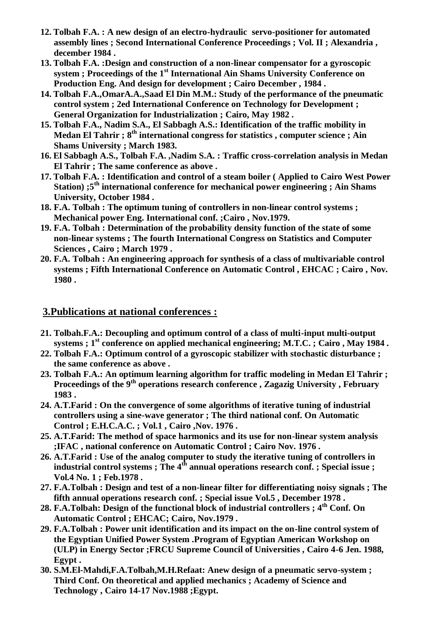- **12. Tolbah F.A. : A new design of an electro-hydraulic servo-positioner for automated assembly lines ; Second International Conference Proceedings ; Vol. II ; Alexandria , december 1984 .**
- **13. Tolbah F.A. :Design and construction of a non-linear compensator for a gyroscopic system ; Proceedings of the 1st International Ain Shams University Conference on Production Eng. And design for development ; Cairo December , 1984 .**
- **14. Tolbah F.A.,OmarA.A.,Saad El Din M.M.: Study of the performance of the pneumatic control system ; 2ed International Conference on Technology for Development ; General Organization for Industrialization ; Cairo, May 1982 .**
- **15. Tolbah F.A., Nadim S.A., El Sabbagh A.S.: Identification of the traffic mobility in Medan El Tahrir ; 8th international congress for statistics , computer science ; Ain Shams University ; March 1983.**
- **16. El Sabbagh A.S., Tolbah F.A. ,Nadim S.A. : Traffic cross-correlation analysis in Medan El Tahrir ; The same conference as above .**
- **17. Tolbah F.A. : Identification and control of a steam boiler ( Applied to Cairo West Power Station) ;5th international conference for mechanical power engineering ; Ain Shams University, October 1984 .**
- **18. F.A. Tolbah : The optimum tuning of controllers in non-linear control systems ; Mechanical power Eng. International conf. ;Cairo , Nov.1979.**
- **19. F.A. Tolbah : Determination of the probability density function of the state of some non-linear systems ; The fourth International Congress on Statistics and Computer Sciences , Cairo ; March 1979 .**
- **20. F.A. Tolbah : An engineering approach for synthesis of a class of multivariable control systems ; Fifth International Conference on Automatic Control , EHCAC ; Cairo , Nov. 1980 .**

#### **3.Publications at national conferences :**

- **21. Tolbah.F.A.: Decoupling and optimum control of a class of multi-input multi-output systems ; 1st conference on applied mechanical engineering; M.T.C. ; Cairo , May 1984 .**
- **22. Tolbah F.A.: Optimum control of a gyroscopic stabilizer with stochastic disturbance ; the same conference as above .**
- **23. Tolbah F.A.: An optimum learning algorithm for traffic modeling in Medan El Tahrir ; Proceedings of the 9th operations research conference , Zagazig University , February 1983 .**
- **24. A.T.Farid : On the convergence of some algorithms of iterative tuning of industrial controllers using a sine-wave generator ; The third national conf. On Automatic Control ; E.H.C.A.C. ; Vol.1 , Cairo ,Nov. 1976 .**
- **25. A.T.Farid: The method of space harmonics and its use for non-linear system analysis ;IFAC , national conference on Automatic Control ; Cairo Nov. 1976 .**
- **26. A.T.Farid : Use of the analog computer to study the iterative tuning of controllers in**  industrial control systems ; The 4<sup>th</sup> annual operations research conf. ; Special issue ; **Vol.4 No. 1 ; Feb.1978 .**
- **27. F.A.Tolbah : Design and test of a non-linear filter for differentiating noisy signals ; The fifth annual operations research conf. ; Special issue Vol.5 , December 1978 .**
- **28. F.A.Tolbah: Design of the functional block of industrial controllers ; 4th Conf. On Automatic Control ; EHCAC; Cairo, Nov.1979 .**
- **29. F.A.Tolbah : Power unit identification and its impact on the on-line control system of the Egyptian Unified Power System .Program of Egyptian American Workshop on (ULP) in Energy Sector ;FRCU Supreme Council of Universities , Cairo 4-6 Jen. 1988, Egypt .**
- **30. S.M.El-Mahdi,F.A.Tolbah,M.H.Refaat: Anew design of a pneumatic servo-system ; Third Conf. On theoretical and applied mechanics ; Academy of Science and Technology , Cairo 14-17 Nov.1988 ;Egypt.**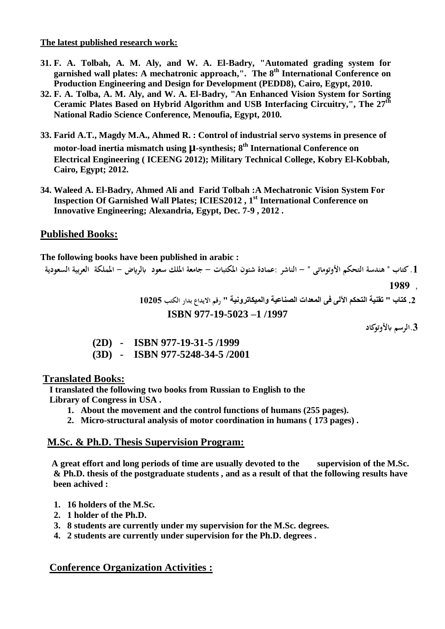#### **The latest published research work:**

- **31. F. A. Tolbah, A. M. Aly, and W. A. El-Badry, "Automated grading system for garnished wall plates: A mechatronic approach,". The 8th International Conference on Production Engineering and Design for Development (PEDD8), Cairo, Egypt, 2010.**
- **32. F. A. Tolba, A. M. Aly, and W. A. El-Badry, "An Enhanced Vision System for Sorting Ceramic Plates Based on Hybrid Algorithm and USB Interfacing Circuitry,", The 27th National Radio Science Conference, Menoufia, Egypt, 2010.**
- **33. Farid A.T., Magdy M.A., Ahmed R. : Control of industrial servo systems in presence of motor-load inertia mismatch using µ-synthesis; 8th International Conference on Electrical Engineering ( ICEENG 2012); Military Technical College, Kobry El-Kobbah, Cairo, Egypt; 2012.**
- **34. Waleed A. El-Badry, Ahmed Ali and Farid Tolbah :A Mechatronic Vision System For Inspection Of Garnished Wall Plates; ICIES2012 , 1st International Conference on Innovative Engineering; Alexandria, Egypt, Dec. 7-9 , 2012 .**

## **Published Books:**

**The following books have been published in arabic :**

**.1 كتاب " هندسة التحكم األوتوماتى " - الناشر :عمادة شئون املكتبات - جامعة امللك سعود ابلرايض - اململكة العربية السعودية** 

**1989**.

**.2 كتاب " تقنية التحكم اآللى فى المعدات الصناعية والميكاترونية " رقم االيدا بدار الكت 10201**

 **ISBN 977-19-5023 –1 /1997** 

**.3الرسم ابألوتوكاد** 

|  | $(2D)$ - ISBN 977-19-31-5/1999   |
|--|----------------------------------|
|  | $(3D)$ - ISBN 977-5248-34-5/2001 |

#### **Translated Books:**

 **I translated the following two books from Russian to English to the Library of Congress in USA .**

- **1. About the movement and the control functions of humans (255 pages).**
- **2. Micro-structural analysis of motor coordination in humans ( 173 pages) .**

#### **M.Sc. & Ph.D. Thesis Supervision Program:**

 **A great effort and long periods of time are usually devoted to the supervision of the M.Sc. & Ph.D. thesis of the postgraduate students , and as a result of that the following results have been achived :**

- **1. 16 holders of the M.Sc.**
- **2. 1 holder of the Ph.D.**
- **3. 8 students are currently under my supervision for the M.Sc. degrees.**
- **4. 2 students are currently under supervision for the Ph.D. degrees .**

#### **Conference Organization Activities :**